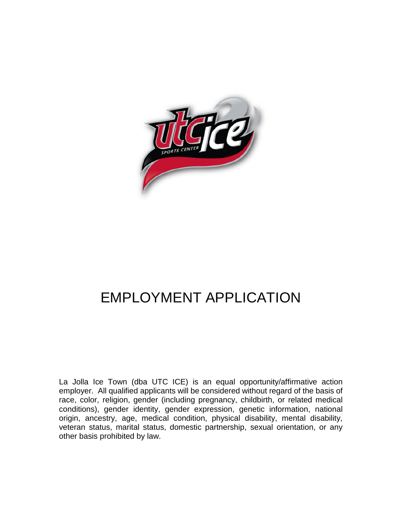

### EMPLOYMENT APPLICATION

La Jolla Ice Town (dba UTC ICE) is an equal opportunity/affirmative action employer. All qualified applicants will be considered without regard of the basis of race, color, religion, gender (including pregnancy, childbirth, or related medical conditions), gender identity, gender expression, genetic information, national origin, ancestry, age, medical condition, physical disability, mental disability, veteran status, marital status, domestic partnership, sexual orientation, or any other basis prohibited by law.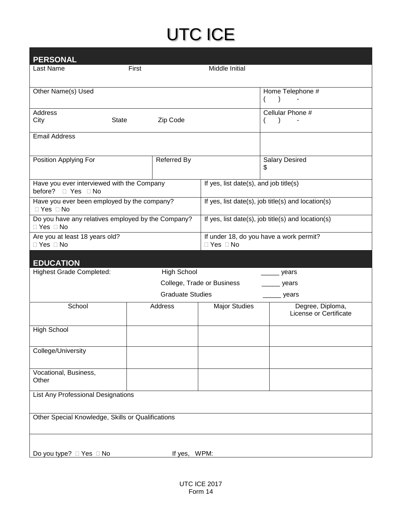| <b>PERSONAL</b>                                                   |                         |                                        |                                                    |
|-------------------------------------------------------------------|-------------------------|----------------------------------------|----------------------------------------------------|
| Last Name                                                         | First                   | Middle Initial                         |                                                    |
|                                                                   |                         |                                        |                                                    |
| Other Name(s) Used                                                |                         |                                        | Home Telephone #                                   |
|                                                                   |                         |                                        | $\lambda$                                          |
| <b>Address</b><br>City<br><b>State</b>                            | Zip Code                |                                        | Cellular Phone #<br>$\rightarrow$                  |
|                                                                   |                         |                                        |                                                    |
| <b>Email Address</b>                                              |                         |                                        |                                                    |
|                                                                   |                         |                                        |                                                    |
| Position Applying For                                             | Referred By             |                                        | <b>Salary Desired</b>                              |
|                                                                   |                         |                                        | \$                                                 |
| Have you ever interviewed with the Company                        |                         | If yes, list date(s), and job title(s) |                                                    |
| before? □ Yes □ No<br>Have you ever been employed by the company? |                         |                                        | If yes, list date(s), job title(s) and location(s) |
| $\Box$ Yes $\Box$ No                                              |                         |                                        |                                                    |
| Do you have any relatives employed by the Company?                |                         |                                        | If yes, list date(s), job title(s) and location(s) |
| □ Yes □ No<br>Are you at least 18 years old?                      |                         |                                        | If under 18, do you have a work permit?            |
| □ Yes □ No                                                        |                         | □ Yes □ No                             |                                                    |
|                                                                   |                         |                                        |                                                    |
| <b>EDUCATION</b>                                                  | <b>High School</b>      |                                        |                                                    |
| <b>Highest Grade Completed:</b>                                   |                         | College, Trade or Business             | years                                              |
|                                                                   | <b>Graduate Studies</b> |                                        | years                                              |
| School                                                            | Address                 |                                        | <sub>.</sub> years                                 |
|                                                                   |                         | <b>Major Studies</b>                   | Degree, Diploma,<br>License or Certificate         |
|                                                                   |                         |                                        |                                                    |
| <b>High School</b>                                                |                         |                                        |                                                    |
| College/University                                                |                         |                                        |                                                    |
|                                                                   |                         |                                        |                                                    |
| Vocational, Business,                                             |                         |                                        |                                                    |
| Other                                                             |                         |                                        |                                                    |
| <b>List Any Professional Designations</b>                         |                         |                                        |                                                    |
|                                                                   |                         |                                        |                                                    |
| Other Special Knowledge, Skills or Qualifications                 |                         |                                        |                                                    |
|                                                                   |                         |                                        |                                                    |
|                                                                   |                         |                                        |                                                    |
| Do you type? □ Yes □ No                                           | If yes, WPM:            |                                        |                                                    |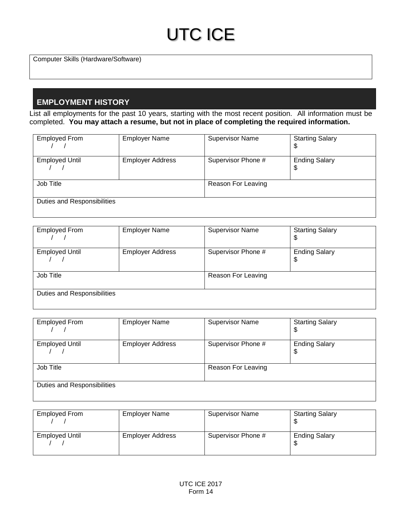Computer Skills (Hardware/Software)

### **EMPLOYMENT HISTORY**

List all employments for the past 10 years, starting with the most recent position. All information must be completed. **You may attach a resume, but not in place of completing the required information.**

| <b>Employed From</b>        | <b>Employer Name</b>    | <b>Supervisor Name</b> | <b>Starting Salary</b><br>\$ |
|-----------------------------|-------------------------|------------------------|------------------------------|
| <b>Employed Until</b>       | <b>Employer Address</b> | Supervisor Phone #     | <b>Ending Salary</b><br>\$   |
| Job Title                   |                         | Reason For Leaving     |                              |
| Duties and Responsibilities |                         |                        |                              |

| <b>Employed From</b>        | <b>Employer Name</b>    | <b>Supervisor Name</b> | <b>Starting Salary</b><br>\$ |
|-----------------------------|-------------------------|------------------------|------------------------------|
| <b>Employed Until</b>       | <b>Employer Address</b> | Supervisor Phone #     | <b>Ending Salary</b><br>\$   |
| Job Title                   |                         | Reason For Leaving     |                              |
| Duties and Responsibilities |                         |                        |                              |

| <b>Employed From</b>        | <b>Employer Name</b>    | <b>Supervisor Name</b> | <b>Starting Salary</b><br>\$ |
|-----------------------------|-------------------------|------------------------|------------------------------|
| <b>Employed Until</b>       | <b>Employer Address</b> | Supervisor Phone #     | <b>Ending Salary</b><br>\$   |
| Job Title                   |                         | Reason For Leaving     |                              |
| Duties and Responsibilities |                         |                        |                              |

| Employed From         | <b>Employer Name</b>    | <b>Supervisor Name</b> | <b>Starting Salary</b> |
|-----------------------|-------------------------|------------------------|------------------------|
| <b>Employed Until</b> | <b>Employer Address</b> | Supervisor Phone #     | <b>Ending Salary</b>   |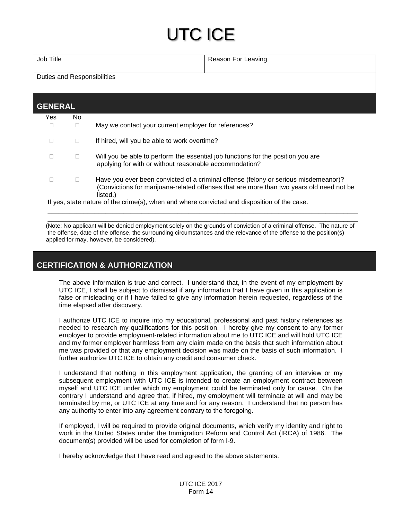| Job Title | Reason For Leaving |
|-----------|--------------------|
|           |                    |

Duties and Responsibilities

| <b>Yes</b> | No.          |                                                                                                                                                                                             |
|------------|--------------|---------------------------------------------------------------------------------------------------------------------------------------------------------------------------------------------|
| Ш          |              | May we contact your current employer for references?                                                                                                                                        |
|            | $\mathbf{L}$ | If hired, will you be able to work overtime?                                                                                                                                                |
|            |              | Will you be able to perform the essential job functions for the position you are<br>applying for with or without reasonable accommodation?                                                  |
|            |              | Have you ever been convicted of a criminal offense (felony or serious misdemeanor)?<br>(Convictions for marijuana-related offenses that are more than two years old need not be<br>listed.) |

(Note: No applicant will be denied employment solely on the grounds of conviction of a criminal offense. The nature of the offense, date of the offense, the surrounding circumstances and the relevance of the offense to the position(s) applied for may, however, be considered).

\_\_\_\_\_\_\_\_\_\_\_\_\_\_\_\_\_\_\_\_\_\_\_\_\_\_\_\_\_\_\_\_\_\_\_\_\_\_\_\_\_\_\_\_\_\_\_\_\_\_\_\_\_\_\_\_\_\_\_\_\_\_\_\_\_\_\_\_\_\_\_\_\_\_\_\_\_\_\_\_\_\_\_\_\_\_

#### **CERTIFICATION & AUTHORIZATION**

The above information is true and correct. I understand that, in the event of my employment by UTC ICE, I shall be subject to dismissal if any information that I have given in this application is false or misleading or if I have failed to give any information herein requested, regardless of the time elapsed after discovery.

I authorize UTC ICE to inquire into my educational, professional and past history references as needed to research my qualifications for this position. I hereby give my consent to any former employer to provide employment-related information about me to UTC ICE and will hold UTC ICE and my former employer harmless from any claim made on the basis that such information about me was provided or that any employment decision was made on the basis of such information. I further authorize UTC ICE to obtain any credit and consumer check.

I understand that nothing in this employment application, the granting of an interview or my subsequent employment with UTC ICE is intended to create an employment contract between myself and UTC ICE under which my employment could be terminated only for cause. On the contrary I understand and agree that, if hired, my employment will terminate at will and may be terminated by me, or UTC ICE at any time and for any reason. I understand that no person has any authority to enter into any agreement contrary to the foregoing.

If employed, I will be required to provide original documents, which verify my identity and right to work in the United States under the Immigration Reform and Control Act (IRCA) of 1986. The document(s) provided will be used for completion of form I-9.

I hereby acknowledge that I have read and agreed to the above statements.